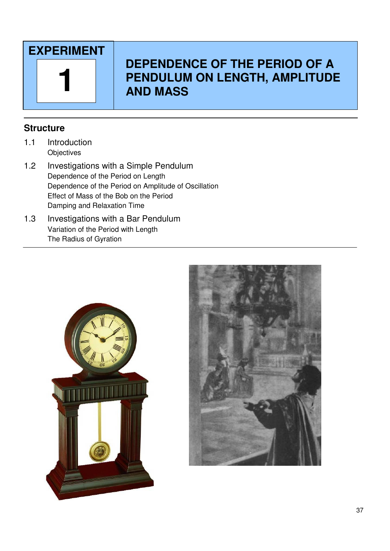

# **DEPENDENCE OF THE PERIOD OF A PENDULUM ON LENGTH, AMPLITUDE 1 AND MASS**

# **Structure**

- 1.1 Introduction **Objectives**
- 1.2 Investigations with a Simple Pendulum Dependence of the Period on Length Dependence of the Period on Amplitude of Oscillation Effect of Mass of the Bob on the Period Damping and Relaxation Time
- 1.3 Investigations with a Bar Pendulum Variation of the Period with Length The Radius of Gyration



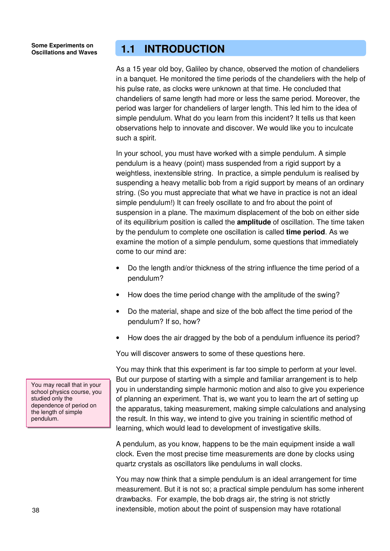# **1.1 INTRODUCTION**

As a 15 year old boy, Galileo by chance, observed the motion of chandeliers in a banquet. He monitored the time periods of the chandeliers with the help of his pulse rate, as clocks were unknown at that time. He concluded that chandeliers of same length had more or less the same period. Moreover, the period was larger for chandeliers of larger length. This led him to the idea of simple pendulum. What do you learn from this incident? It tells us that keen observations help to innovate and discover. We would like you to inculcate such a spirit.

In your school, you must have worked with a simple pendulum. A simple pendulum is a heavy (point) mass suspended from a rigid support by a weightless, inextensible string. In practice, a simple pendulum is realised by suspending a heavy metallic bob from a rigid support by means of an ordinary string. (So you must appreciate that what we have in practice is not an ideal simple pendulum!) It can freely oscillate to and fro about the point of suspension in a plane. The maximum displacement of the bob on either side of its equilibrium position is called the **amplitude** of oscillation. The time taken by the pendulum to complete one oscillation is called **time period**. As we examine the motion of a simple pendulum, some questions that immediately come to our mind are:

- Do the length and/or thickness of the string influence the time period of a pendulum?
- How does the time period change with the amplitude of the swing?
- Do the material, shape and size of the bob affect the time period of the pendulum? If so, how?
- How does the air dragged by the bob of a pendulum influence its period?

You will discover answers to some of these questions here.

You may think that this experiment is far too simple to perform at your level. But our purpose of starting with a simple and familiar arrangement is to help you in understanding simple harmonic motion and also to give you experience of planning an experiment. That is, we want you to learn the art of setting up the apparatus, taking measurement, making simple calculations and analysing the result. In this way, we intend to give you training in scientific method of learning, which would lead to development of investigative skills.

A pendulum, as you know, happens to be the main equipment inside a wall clock. Even the most precise time measurements are done by clocks using quartz crystals as oscillators like pendulums in wall clocks.

You may now think that a simple pendulum is an ideal arrangement for time measurement. But it is not so; a practical simple pendulum has some inherent drawbacks. For example, the bob drags air, the string is not strictly inextensible, motion about the point of suspension may have rotational

You may recall that in your school physics course, you studied only the dependence of period on the length of simple pendulum.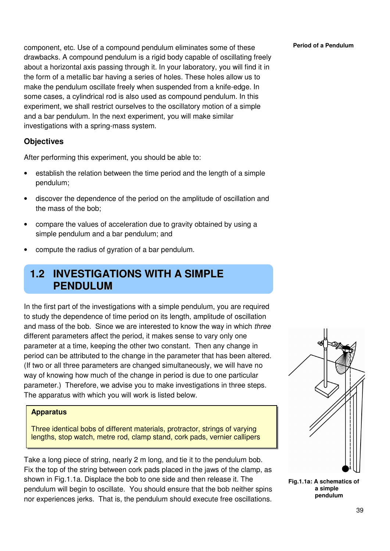component, etc. Use of a compound pendulum eliminates some of these **Period of a Pendulum** drawbacks. A compound pendulum is a rigid body capable of oscillating freely about a horizontal axis passing through it. In your laboratory, you will find it in the form of a metallic bar having a series of holes. These holes allow us to make the pendulum oscillate freely when suspended from a knife-edge. In some cases, a cylindrical rod is also used as compound pendulum. In this experiment, we shall restrict ourselves to the oscillatory motion of a simple and a bar pendulum. In the next experiment, you will make similar investigations with a spring-mass system.

# **Objectives**

After performing this experiment, you should be able to:

- establish the relation between the time period and the length of a simple pendulum;
- discover the dependence of the period on the amplitude of oscillation and the mass of the bob;
- compare the values of acceleration due to gravity obtained by using a simple pendulum and a bar pendulum; and
- compute the radius of gyration of a bar pendulum.

# **1.2 INVESTIGATIONS WITH A SIMPLE PENDULUM**

In the first part of the investigations with a simple pendulum, you are required to study the dependence of time period on its length, amplitude of oscillation and mass of the bob. Since we are interested to know the way in which three different parameters affect the period, it makes sense to vary only one parameter at a time, keeping the other two constant. Then any change in period can be attributed to the change in the parameter that has been altered. (If two or all three parameters are changed simultaneously, we will have no way of knowing how much of the change in period is due to one particular parameter.) Therefore, we advise you to make investigations in three steps. The apparatus with which you will work is listed below.

### **Apparatus**

Three identical bobs of different materials, protractor, strings of varying lengths, stop watch, metre rod, clamp stand, cork pads, vernier callipers

Take a long piece of string, nearly 2 m long, and tie it to the pendulum bob. Fix the top of the string between cork pads placed in the jaws of the clamp, as shown in Fig.1.1a. Displace the bob to one side and then release it. The pendulum will begin to oscillate. You should ensure that the bob neither spins nor experiences jerks. That is, the pendulum should execute free oscillations.

**Fig.1.1a: A schematics of a simple pendulum**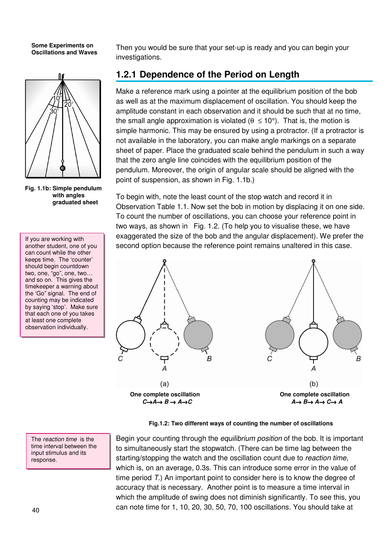

**Fig. 1.1b: Simple pendulum with angles graduated sheet** 

If you are working with another student, one of you can count while the other keeps time. The 'counter' should begin countdown two, one, "go", one, two… and so on. This gives the timekeeper a warning about the 'Go" signal. The end of counting may be indicated by saying 'stop'. Make sure that each one of you takes at least one complete observation individually.

The reaction time is the time interval between the input stimulus and its response.

Then you would be sure that your set-up is ready and you can begin your investigations.

# **1.2.1 Dependence of the Period on Length**

Make a reference mark using a pointer at the equilibrium position of the bob as well as at the maximum displacement of oscillation. You should keep the amplitude constant in each observation and it should be such that at no time, the small angle approximation is violated ( $\theta \le 10^{\circ}$ ). That is, the motion is simple harmonic. This may be ensured by using a protractor. (If a protractor is not available in the laboratory, you can make angle markings on a separate sheet of paper. Place the graduated scale behind the pendulum in such a way that the zero angle line coincides with the equilibrium position of the pendulum. Moreover, the origin of angular scale should be aligned with the point of suspension, as shown in Fig. 1.1b.)

To begin with, note the least count of the stop watch and record it in Observation Table 1.1. Now set the bob in motion by displacing it on one side. To count the number of oscillations, you can choose your reference point in two ways, as shown in Fig. 1.2. (To help you to visualise these, we have exaggerated the size of the bob and the angular displacement). We prefer the second option because the reference point remains unaltered in this case.



**Fig.1.2: Two different ways of counting the number of oscillations**

Begin your counting through the *equilibrium position* of the bob. It is important to simultaneously start the stopwatch. (There can be time lag between the starting/stopping the watch and the oscillation count due to reaction time, which is, on an average, 0.3s. This can introduce some error in the value of time period T.) An important point to consider here is to know the degree of accuracy that is necessary. Another point is to measure a time interval in which the amplitude of swing does not diminish significantly. To see this, you can note time for 1, 10, 20, 30, 50, 70, 100 oscillations. You should take at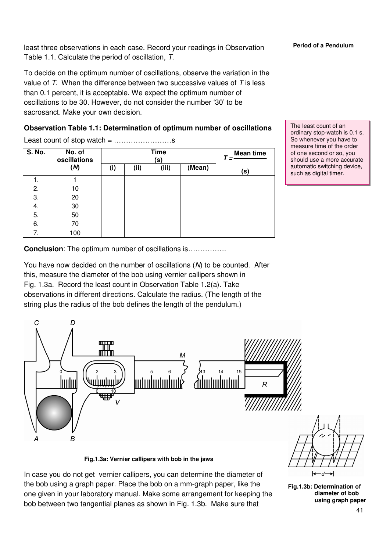least three observations in each case. Record your readings in Observation **Period of a Pendulum** Table 1.1. Calculate the period of oscillation, T.

To decide on the optimum number of oscillations, observe the variation in the value of  $T$ . When the difference between two successive values of  $T$  is less than 0.1 percent, it is acceptable. We expect the optimum number of oscillations to be 30. However, do not consider the number '30' to be sacrosanct. Make your own decision.

# **Observation Table 1.1: Determination of optimum number of oscillations**

Least count of stop watch = ……………………s

| <b>S. No.</b><br>No. of<br>oscillations<br>(s) |     |     |      | <b>Time</b> |        | <b>Mean time</b> |  |
|------------------------------------------------|-----|-----|------|-------------|--------|------------------|--|
|                                                | (M) | (i) | (ii) | (iii)       | (Mean) | (s)              |  |
| 1.                                             |     |     |      |             |        |                  |  |
| 2.                                             | 10  |     |      |             |        |                  |  |
| 3.                                             | 20  |     |      |             |        |                  |  |
| 4.                                             | 30  |     |      |             |        |                  |  |
| 5.                                             | 50  |     |      |             |        |                  |  |
| 6.                                             | 70  |     |      |             |        |                  |  |
| 7.                                             | 100 |     |      |             |        |                  |  |

The least count of an ordinary stop-watch is 0.1 s. So whenever you have to measure time of the order of one second or so, you should use a more accurate automatic switching device, such as digital timer.

**Conclusion**: The optimum number of oscillations is……………

You have now decided on the number of oscillations (N) to be counted. After this, measure the diameter of the bob using vernier callipers shown in Fig. 1.3a. Record the least count in Observation Table 1.2(a). Take observations in different directions. Calculate the radius. (The length of the string plus the radius of the bob defines the length of the pendulum.)



**Fig.1.3a: Vernier callipers with bob in the jaws** 

- ศ

**Fig.1.3b: Determination of diameter of bob using graph paper**

In case you do not get vernier callipers, you can determine the diameter of the bob using a graph paper. Place the bob on a mm-graph paper, like the one given in your laboratory manual. Make some arrangement for keeping the bob between two tangential planes as shown in Fig. 1.3b. Make sure that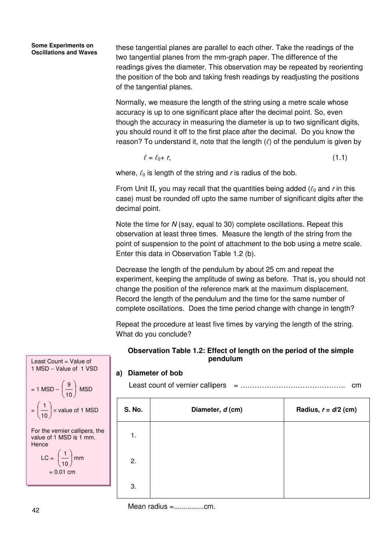these tangential planes are parallel to each other. Take the readings of the two tangential planes from the mm-graph paper. The difference of the readings gives the diameter. This observation may be repeated by reorienting the position of the bob and taking fresh readings by readjusting the positions of the tangential planes.

Normally, we measure the length of the string using a metre scale whose accuracy is up to one significant place after the decimal point. So, even though the accuracy in measuring the diameter is up to two significant digits, you should round it off to the first place after the decimal. Do you know the reason? To understand it, note that the length  $(\ell)$  of the pendulum is given by

$$
\ell = \ell_0 + r,\tag{1.1}
$$

where,  $\ell_0$  is length of the string and r is radius of the bob.

From Unit II, you may recall that the quantities being added  $(\ell_0$  and r in this case) must be rounded off upto the same number of significant digits after the decimal point.

Note the time for N (say, equal to 30) complete oscillations. Repeat this observation at least three times. Measure the length of the string from the point of suspension to the point of attachment to the bob using a metre scale. Enter this data in Observation Table 1.2 (b).

Decrease the length of the pendulum by about 25 cm and repeat the experiment, keeping the amplitude of swing as before. That is, you should not change the position of the reference mark at the maximum displacement. Record the length of the pendulum and the time for the same number of complete oscillations. Does the time period change with change in length?

Repeat the procedure at least five times by varying the length of the string. What do you conclude?

### **Observation Table 1.2: Effect of length on the period of the simple pendulum**

## **a) Diameter of bob**

Least count of vernier callipers = …………………………………….. cm

| <b>S. No.</b> | Diameter, d (cm) | Radius, $r = d/2$ (cm) |
|---------------|------------------|------------------------|
| 1.            |                  |                        |
| 2.            |                  |                        |
| 3.            |                  |                        |

Mean radius =...............cm.



$$
LC = \left(\frac{1}{10}\right) \text{mm}
$$

$$
= 0.01 \text{ cm}
$$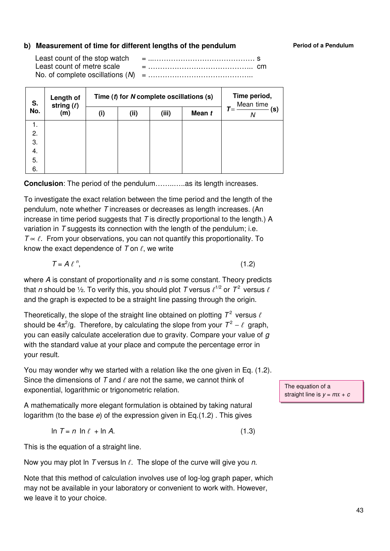### **b)** Measurement of time for different lengths of the pendulum **Period of a Pendulum**

Least count of the stop watch = ...…………………………………… s Least count of metre scale = …………………………………….. cm No. of complete oscillations (N) = ……………………………………..

| S.  |     | Length of<br>string $(\ell)$ |      | Time $(t)$ for N complete oscillations $(s)$ | Time period,<br>Mean time |                   |  |
|-----|-----|------------------------------|------|----------------------------------------------|---------------------------|-------------------|--|
| No. | (m) | (i)                          | (ii) | (iii)                                        | Mean t                    | (s)<br>$T =$<br>Ν |  |
|     | 1.  |                              |      |                                              |                           |                   |  |
|     | 2.  |                              |      |                                              |                           |                   |  |
|     | 3.  |                              |      |                                              |                           |                   |  |
|     | 4.  |                              |      |                                              |                           |                   |  |
|     | 5.  |                              |      |                                              |                           |                   |  |
|     | 6.  |                              |      |                                              |                           |                   |  |

**Conclusion**: The period of the pendulum.............as its length increases.

To investigate the exact relation between the time period and the length of the pendulum, note whether T increases or decreases as length increases. (An increase in time period suggests that  $T$  is directly proportional to the length.) A variation in T suggests its connection with the length of the pendulum; i.e.  $T \propto \ell$ . From your observations, you can not quantify this proportionality. To know the exact dependence of  $T$  on  $\ell$ , we write

$$
T = A \ell^n, \tag{1.2}
$$

where  $A$  is constant of proportionality and  $n$  is some constant. Theory predicts that  $n$  should be ½. To verify this, you should plot  $\mathcal T$  versus  $\ell^{1/2}$  or  $\mathcal T^2$  versus  $\ell$ and the graph is expected to be a straight line passing through the origin.

Theoretically, the slope of the straight line obtained on plotting  $\mathcal{T}^2$  versus  $\ell$ should be  $4\pi^2$ /g. Therefore, by calculating the slope from your  $T^2 - \ell$  graph, you can easily calculate acceleration due to gravity. Compare your value of g with the standard value at your place and compute the percentage error in your result.

You may wonder why we started with a relation like the one given in Eq. (1.2). Since the dimensions of  $T$  and  $\ell$  are not the same, we cannot think of exponential, logarithmic or trigonometric relation.

A mathematically more elegant formulation is obtained by taking natural logarithm (to the base e) of the expression given in Eq.(1.2) . This gives

 $\ln T = n \ln \ell + \ln A.$  (1.3)

This is the equation of a straight line.

Now you may plot ln T versus ln  $\ell$ . The slope of the curve will give you n.

Note that this method of calculation involves use of log-log graph paper, which may not be available in your laboratory or convenient to work with. However, we leave it to your choice.

The equation of a straight line is  $y = mx + c$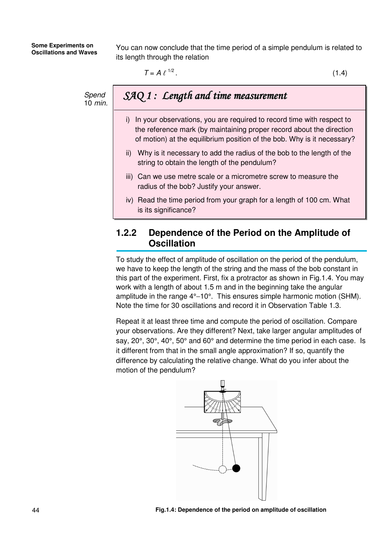You can now conclude that the time period of a simple pendulum is related to its length through the relation

$$
T = A \ell^{1/2} \tag{1.4}
$$

Spend 10 min.

# SAQ 1 : Length and time measurement

- i) In your observations, you are required to record time with respect to the reference mark (by maintaining proper record about the direction of motion) at the equilibrium position of the bob. Why is it necessary?
- ii) Why is it necessary to add the radius of the bob to the length of the string to obtain the length of the pendulum?
- iii) Can we use metre scale or a micrometre screw to measure the radius of the bob? Justify your answer.
- iv) Read the time period from your graph for a length of 100 cm. What is its significance?

# **1.2.2 Dependence of the Period on the Amplitude of Oscillation**

To study the effect of amplitude of oscillation on the period of the pendulum, we have to keep the length of the string and the mass of the bob constant in this part of the experiment. First, fix a protractor as shown in Fig.1.4. You may work with a length of about 1.5 m and in the beginning take the angular amplitude in the range 4°−10°. This ensures simple harmonic motion (SHM). Note the time for 30 oscillations and record it in Observation Table 1.3.

Repeat it at least three time and compute the period of oscillation. Compare your observations. Are they different? Next, take larger angular amplitudes of say, 20°, 30°, 40°, 50° and 60° and determine the time period in each case. Is it different from that in the small angle approximation? If so, quantify the difference by calculating the relative change. What do you infer about the motion of the pendulum?

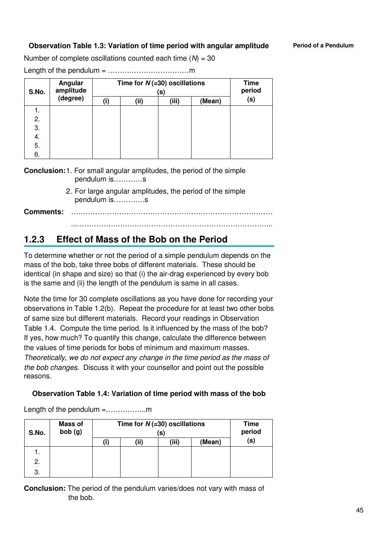## **Observation Table 1.3: Variation of time period with angular amplitude Period of a Pendulum**

Number of complete oscillations counted each time  $(N) = 30$ 

Length of the pendulum = ……….……………………m

| S.No. | Angular<br>amplitude | Time for $N$ (=30) oscillations | <b>Time</b><br>period |       |        |     |
|-------|----------------------|---------------------------------|-----------------------|-------|--------|-----|
|       | (degree)             | (i)                             | (ii)                  | (iii) | (Mean) | (s) |
|       |                      |                                 |                       |       |        |     |
| 2.    |                      |                                 |                       |       |        |     |
| 3.    |                      |                                 |                       |       |        |     |
| 4.    |                      |                                 |                       |       |        |     |
| 5.    |                      |                                 |                       |       |        |     |
| 6.    |                      |                                 |                       |       |        |     |

**Conclusion:** 1. For small angular amplitudes, the period of the simple pendulum is…………s

> 2. For large angular amplitudes, the period of the simple pendulum is………….s

**Comments:** …………………………………………………………………………

### ...……………….……………………………………………………...

# **1.2.3 Effect of Mass of the Bob on the Period**

To determine whether or not the period of a simple pendulum depends on the mass of the bob, take three bobs of different materials. These should be identical (in shape and size) so that (i) the air-drag experienced by every bob is the same and (ii) the length of the pendulum is same in all cases.

Note the time for 30 complete oscillations as you have done for recording your observations in Table 1.2(b). Repeat the procedure for at least two other bobs of same size but different materials. Record your readings in Observation Table 1.4. Compute the time period. Is it influenced by the mass of the bob? If yes, how much? To quantify this change, calculate the difference between the values of time periods for bobs of minimum and maximum masses. Theoretically, we do not expect any change in the time period as the mass of the bob changes. Discuss it with your counsellor and point out the possible reasons.

**Observation Table 1.4: Variation of time period with mass of the bob** 

| S.No. | Mass of<br>bob(g) | Time for $N (=30)$ oscillations<br>(S) |       |        |     |  |
|-------|-------------------|----------------------------------------|-------|--------|-----|--|
|       |                   | (ii)                                   | (iii) | (Mean) | (s) |  |
|       |                   |                                        |       |        |     |  |
| 2.    |                   |                                        |       |        |     |  |
| 3.    |                   |                                        |       |        |     |  |

Length of the pendulum =..................m

**Conclusion:** The period of the pendulum varies/does not vary with mass of the bob.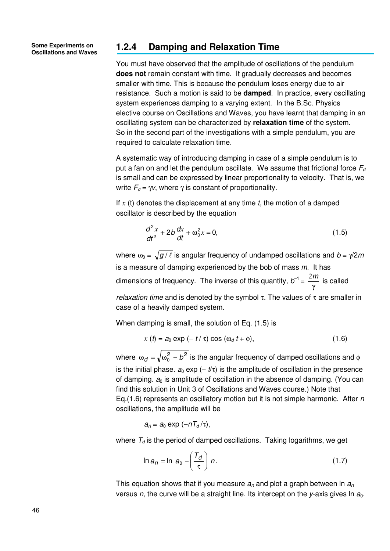**Some Experiments on** 

# **Oscillations and Waves 1.2.4 Damping and Relaxation Time**

You must have observed that the amplitude of oscillations of the pendulum **does not** remain constant with time. It gradually decreases and becomes smaller with time. This is because the pendulum loses energy due to air resistance. Such a motion is said to be **damped**. In practice, every oscillating system experiences damping to a varying extent. In the B.Sc. Physics elective course on Oscillations and Waves, you have learnt that damping in an oscillating system can be characterized by **relaxation time** of the system. So in the second part of the investigations with a simple pendulum, you are required to calculate relaxation time.

A systematic way of introducing damping in case of a simple pendulum is to put a fan on and let the pendulum oscillate. We assume that frictional force  $F_d$ is small and can be expressed by linear proportionality to velocity. That is, we write  $F_d = \gamma v$ , where  $\gamma$  is constant of proportionality.

If  $x$  (t) denotes the displacement at any time  $t$ , the motion of a damped oscillator is described by the equation

$$
\frac{d^2x}{dt^2} + 2b\frac{dx}{dt} + \omega_0^2 x = 0,
$$
\t(1.5)

where  $\omega_0 = \sqrt{g / \ell}$  is angular frequency of undamped oscillations and  $b = \gamma/2m$ is a measure of damping experienced by the bob of mass  $m$ . It has dimensions of frequency. The inverse of this quantity,  $b^{-1}$  = γ  $\frac{2m}{m}$  is called

relaxation time and is denoted by the symbol  $\tau$ . The values of  $\tau$  are smaller in case of a heavily damped system.

When damping is small, the solution of Eq. (1.5) is

$$
x(t) = a_0 \exp(-t/\tau) \cos(\omega_d t + \phi), \qquad (1.6)
$$

where  $\omega_d = \sqrt{\omega_0^2 - b^2}$  is the angular frequency of damped oscillations and  $\phi$ is the initial phase.  $a_0 \exp(-t/\tau)$  is the amplitude of oscillation in the presence of damping.  $a_0$  is amplitude of oscillation in the absence of damping. (You can find this solution in Unit 3 of Oscillations and Waves course.) Note that Eq.(1.6) represents an oscillatory motion but it is not simple harmonic. After n oscillations, the amplitude will be

$$
a_n = a_0 \exp(-nT_d/\tau),
$$

where  $T<sub>d</sub>$  is the period of damped oscillations. Taking logarithms, we get

$$
\ln a_n = \ln a_0 - \left(\frac{T_d}{\tau}\right)n. \tag{1.7}
$$

This equation shows that if you measure  $a_n$  and plot a graph between ln  $a_n$ versus n, the curve will be a straight line. Its intercept on the y-axis gives  $\ln a_0$ .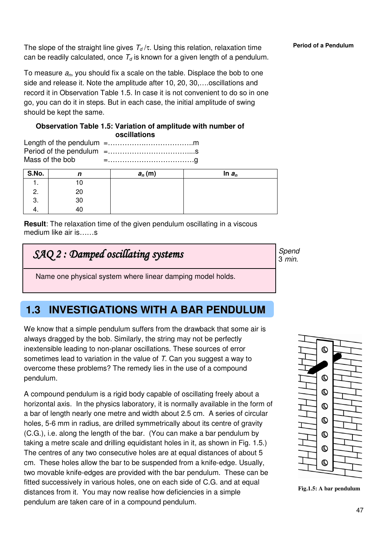The slope of the straight line gives  $T_d/\tau$ . Using this relation, relaxation time **Period of a Pendulum** can be readily calculated, once  $T<sub>d</sub>$  is known for a given length of a pendulum.

To measure  $a_n$ , you should fix a scale on the table. Displace the bob to one side and release it. Note the amplitude after 10, 20, 30,….oscillations and record it in Observation Table 1.5. In case it is not convenient to do so in one go, you can do it in steps. But in each case, the initial amplitude of swing should be kept the same.

#### **Observation Table 1.5: Variation of amplitude with number of oscillations**

Length of the pendulum =…………….………………..m Period of the pendulum =……………………………....s Mass of the bob  $=$   $\ldots$   $\ldots$   $\ldots$   $\ldots$   $\ldots$   $\ldots$   $\ldots$ 

| S.No. | n  | $a_n(m)$ | In $a_n$ |
|-------|----|----------|----------|
| . .   | 10 |          |          |
| 2.    | 20 |          |          |
| 3.    | 30 |          |          |
| т.    | 40 |          |          |

**Result:** The relaxation time of the given pendulum oscillating in a viscous medium like air is……s

# SAQ 2 : Damped oscillating systems

Spend 3 min.

Name one physical system where linear damping model holds.

# **1.3 INVESTIGATIONS WITH A BAR PENDULUM**

We know that a simple pendulum suffers from the drawback that some air is always dragged by the bob. Similarly, the string may not be perfectly inextensible leading to non-planar oscillations. These sources of error sometimes lead to variation in the value of T. Can you suggest a way to overcome these problems? The remedy lies in the use of a compound pendulum.

A compound pendulum is a rigid body capable of oscillating freely about a horizontal axis. In the physics laboratory, it is normally available in the form of a bar of length nearly one metre and width about 2.5 cm. A series of circular holes, 5-6 mm in radius, are drilled symmetrically about its centre of gravity (C.G.), i.e. along the length of the bar. (You can make a bar pendulum by taking a metre scale and drilling equidistant holes in it, as shown in Fig. 1.5.) The centres of any two consecutive holes are at equal distances of about 5 cm. These holes allow the bar to be suspended from a knife-edge. Usually, two movable knife-edges are provided with the bar pendulum. These can be fitted successively in various holes, one on each side of C.G. and at equal distances from it. You may now realise how deficiencies in a simple pendulum are taken care of in a compound pendulum.

**Fig.1.5: A bar pendulum**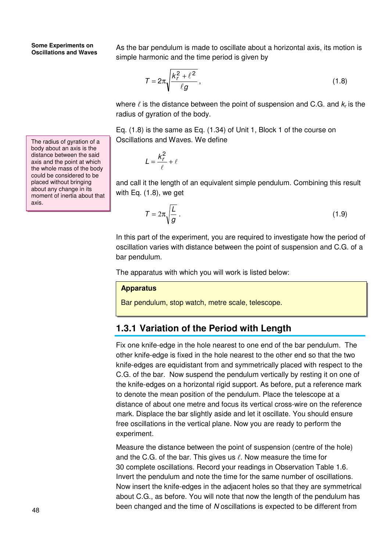The radius of gyration of a body about an axis is the distance between the said axis and the point at which the whole mass of the body could be considered to be placed without bringing about any change in its moment of inertia about that axis.

As the bar pendulum is made to oscillate about a horizontal axis, its motion is simple harmonic and the time period is given by

$$
\mathcal{T} = 2\pi \sqrt{\frac{k_r^2 + \ell^2}{\ell g}},\tag{1.8}
$$

where  $\ell$  is the distance between the point of suspension and C.G. and  $k_r$  is the radius of gyration of the body.

Eq. (1.8) is the same as Eq. (1.34) of Unit 1, Block 1 of the course on Oscillations and Waves. We define

$$
L = \frac{k_r^2}{\ell} + \ell
$$

and call it the length of an equivalent simple pendulum. Combining this result with Eq. (1.8), we get

$$
T = 2\pi \sqrt{\frac{L}{g}} \tag{1.9}
$$

In this part of the experiment, you are required to investigate how the period of oscillation varies with distance between the point of suspension and C.G. of a bar pendulum.

The apparatus with which you will work is listed below:

#### **Apparatus**

Bar pendulum, stop watch, metre scale, telescope.

# **1.3.1 Variation of the Period with Length**

Fix one knife-edge in the hole nearest to one end of the bar pendulum. The other knife-edge is fixed in the hole nearest to the other end so that the two knife-edges are equidistant from and symmetrically placed with respect to the C.G. of the bar. Now suspend the pendulum vertically by resting it on one of the knife-edges on a horizontal rigid support. As before, put a reference mark to denote the mean position of the pendulum. Place the telescope at a distance of about one metre and focus its vertical cross-wire on the reference mark. Displace the bar slightly aside and let it oscillate. You should ensure free oscillations in the vertical plane. Now you are ready to perform the experiment.

Measure the distance between the point of suspension (centre of the hole) and the C.G. of the bar. This gives us  $\ell$ . Now measure the time for 30 complete oscillations. Record your readings in Observation Table 1.6. Invert the pendulum and note the time for the same number of oscillations. Now insert the knife-edges in the adjacent holes so that they are symmetrical about C.G., as before. You will note that now the length of the pendulum has been changed and the time of N oscillations is expected to be different from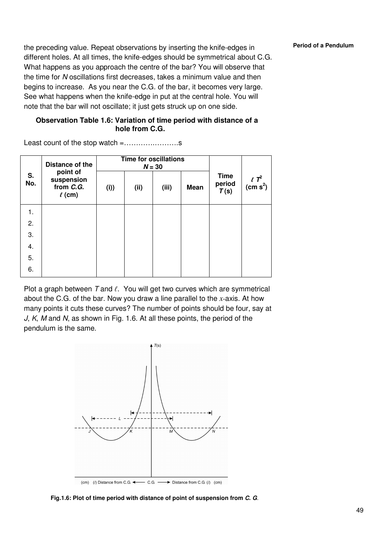the preceding value. Repeat observations by inserting the knife-edges in **Period of a Pendulum** different holes. At all times, the knife-edges should be symmetrical about C.G. What happens as you approach the centre of the bar? You will observe that the time for N oscillations first decreases, takes a minimum value and then begins to increase. As you near the C.G. of the bar, it becomes very large. See what happens when the knife-edge in put at the central hole. You will note that the bar will not oscillate; it just gets struck up on one side.

### **Observation Table 1.6: Variation of time period with distance of a hole from C.G.**

Least count of the stop watch =………….……….s

| S.<br>No. | Distance of the<br>point of<br>suspension<br>from C.G.<br>$\ell$ (cm) | <b>Time for oscillations</b><br>$N = 30$ |      |       |             |                               |                                    |
|-----------|-----------------------------------------------------------------------|------------------------------------------|------|-------|-------------|-------------------------------|------------------------------------|
|           |                                                                       | (i)                                      | (ii) | (iii) | <b>Mean</b> | <b>Time</b><br>period<br>T(s) | $\ell T^2$<br>(cm s <sup>2</sup> ) |
| 1.        |                                                                       |                                          |      |       |             |                               |                                    |
| 2.        |                                                                       |                                          |      |       |             |                               |                                    |
| 3.        |                                                                       |                                          |      |       |             |                               |                                    |
| 4.        |                                                                       |                                          |      |       |             |                               |                                    |
| 5.        |                                                                       |                                          |      |       |             |                               |                                    |
| 6.        |                                                                       |                                          |      |       |             |                               |                                    |

Plot a graph between  $T$  and  $\ell$ . You will get two curves which are symmetrical about the C.G. of the bar. Now you draw a line parallel to the *x*-axis. At how many points it cuts these curves? The number of points should be four, say at J, K, M and N, as shown in Fig. 1.6. At all these points, the period of the pendulum is the same.



 **Fig.1.6: Plot of time period with distance of point of suspension from C. G**.